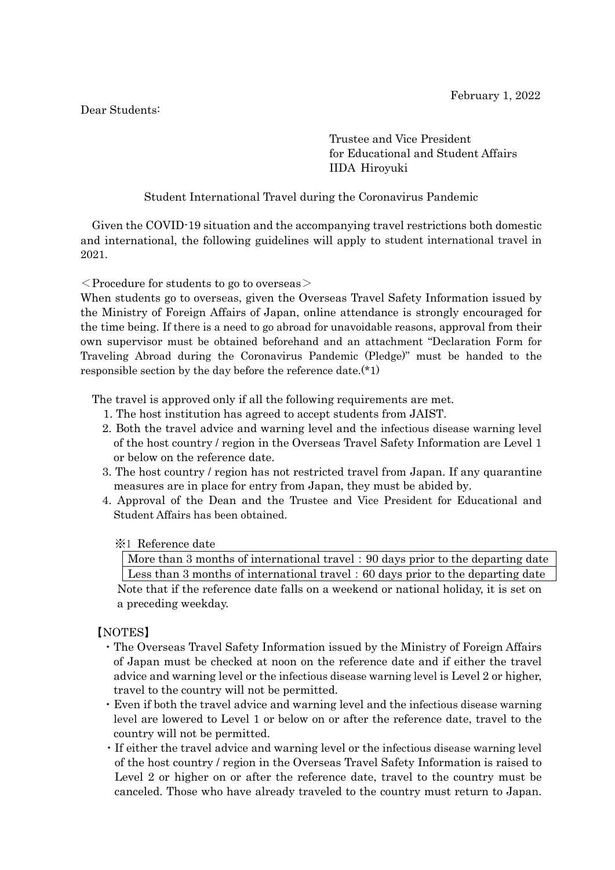Dear Students:

Trustee and Vice President for Educational and Student Affairs IIDA Hiroyuki

Student International Travel during the Coronavirus Pandemic

Given the COVID-19 situation and the accompanying travel restrictions both domestic and international, the following guidelines will apply to student international travel in 2021.

 $\leq$  Procedure for students to go to overseas  $\geq$ 

When students go to overseas, given the Overseas Travel Safety Information issued by the Ministry of Foreign Affairs of Japan, online attendance is strongly encouraged for the time being. If there is a need to go abroad for unavoidable reasons, approval from their own supervisor must be obtained beforehand and an attachment "Declaration Form for Traveling Abroad during the Coronavirus Pandemic (Pledge)" must be handed to the responsible section by the day before the reference date.(\*1)

The travel is approved only if all the following requirements are met.

- 1. The host institution has agreed to accept students from JAIST.
- 2. Both the travel advice and warning level and the infectious disease warning level of the host country / region in the Overseas Travel Safety Information are Level 1 or below on the reference date.
- 3. The host country / region has not restricted travel from Japan. If any quarantine measures are in place for entry from Japan, they must be abided by.
- 4. Approval of the Dean and the Trustee and Vice President for Educational and Student Affairs has been obtained.

## ※1 Reference date

More than 3 months of international travel:90 days prior to the departing date Less than 3 months of international travel: 60 days prior to the departing date

Note that if the reference date falls on a weekend or national holiday, it is set on a preceding weekday.

# 【NOTES】

- ・The Overseas Travel Safety Information issued by the Ministry of Foreign Affairs of Japan must be checked at noon on the reference date and if either the travel advice and warning level or the infectious disease warning level is Level 2 or higher, travel to the country will not be permitted.
- ・Even if both the travel advice and warning level and the infectious disease warning level are lowered to Level 1 or below on or after the reference date, travel to the country will not be permitted.
- ・If either the travel advice and warning level or the infectious disease warning level of the host country / region in the Overseas Travel Safety Information is raised to Level 2 or higher on or after the reference date, travel to the country must be canceled. Those who have already traveled to the country must return to Japan.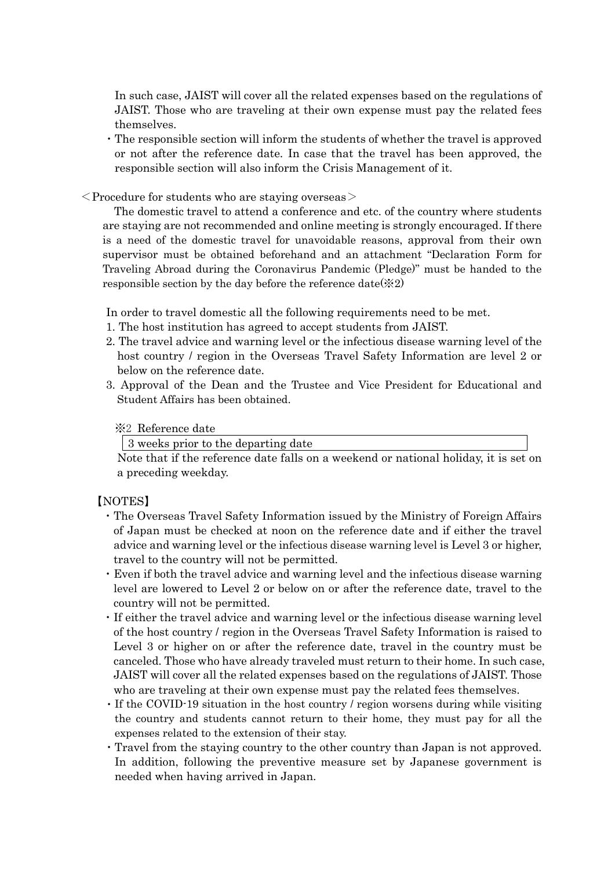In such case, JAIST will cover all the related expenses based on the regulations of JAIST. Those who are traveling at their own expense must pay the related fees themselves.

- ・The responsible section will inform the students of whether the travel is approved or not after the reference date. In case that the travel has been approved, the responsible section will also inform the Crisis Management of it.
- $\leq$ Procedure for students who are staying overseas $>$

 The domestic travel to attend a conference and etc. of the country where students are staying are not recommended and online meeting is strongly encouraged. If there is a need of the domestic travel for unavoidable reasons, approval from their own supervisor must be obtained beforehand and an attachment "Declaration Form for Traveling Abroad during the Coronavirus Pandemic (Pledge)" must be handed to the responsible section by the day before the reference date( $\&2$ )

In order to travel domestic all the following requirements need to be met.

- 1. The host institution has agreed to accept students from JAIST.
- 2. The travel advice and warning level or the infectious disease warning level of the host country / region in the Overseas Travel Safety Information are level 2 or below on the reference date.
- 3. Approval of the Dean and the Trustee and Vice President for Educational and Student Affairs has been obtained.

### ※2 Reference date

3 weeks prior to the departing date

Note that if the reference date falls on a weekend or national holiday, it is set on a preceding weekday.

## 【NOTES】

- ・The Overseas Travel Safety Information issued by the Ministry of Foreign Affairs of Japan must be checked at noon on the reference date and if either the travel advice and warning level or the infectious disease warning level is Level 3 or higher, travel to the country will not be permitted.
- ・Even if both the travel advice and warning level and the infectious disease warning level are lowered to Level 2 or below on or after the reference date, travel to the country will not be permitted.
- ・If either the travel advice and warning level or the infectious disease warning level of the host country / region in the Overseas Travel Safety Information is raised to Level 3 or higher on or after the reference date, travel in the country must be canceled. Those who have already traveled must return to their home. In such case, JAIST will cover all the related expenses based on the regulations of JAIST. Those who are traveling at their own expense must pay the related fees themselves.
- ・If the COVID-19 situation in the host country / region worsens during while visiting the country and students cannot return to their home, they must pay for all the expenses related to the extension of their stay.
- ・Travel from the staying country to the other country than Japan is not approved. In addition, following the preventive measure set by Japanese government is needed when having arrived in Japan.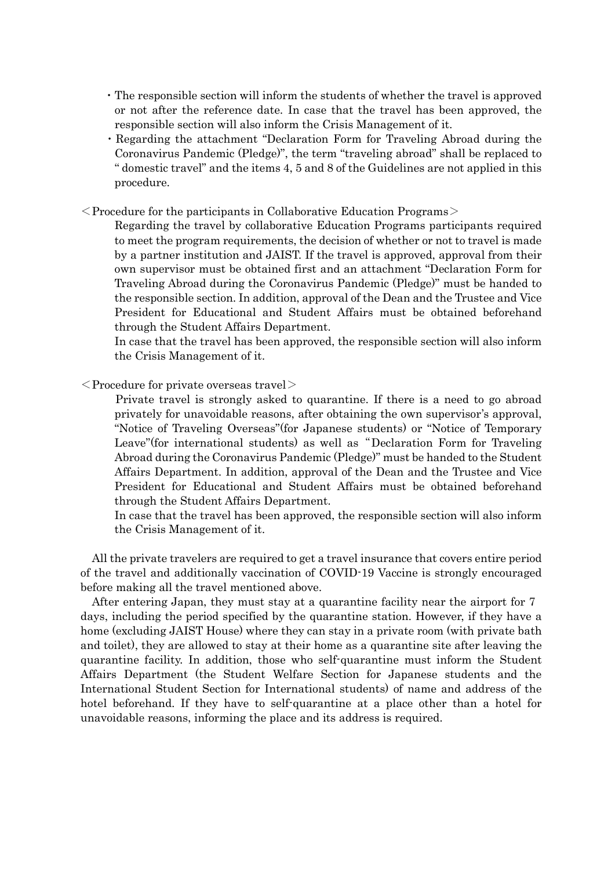- ・The responsible section will inform the students of whether the travel is approved or not after the reference date. In case that the travel has been approved, the responsible section will also inform the Crisis Management of it.
- ・Regarding the attachment "Declaration Form for Traveling Abroad during the Coronavirus Pandemic (Pledge)", the term "traveling abroad" shall be replaced to " domestic travel" and the items 4, 5 and 8 of the Guidelines are not applied in this procedure.
- $\leq$  Procedure for the participants in Collaborative Education Programs  $\geq$

 Regarding the travel by collaborative Education Programs participants required to meet the program requirements, the decision of whether or not to travel is made by a partner institution and JAIST. If the travel is approved, approval from their own supervisor must be obtained first and an attachment "Declaration Form for Traveling Abroad during the Coronavirus Pandemic (Pledge)" must be handed to the responsible section. In addition, approval of the Dean and the Trustee and Vice President for Educational and Student Affairs must be obtained beforehand through the Student Affairs Department.

In case that the travel has been approved, the responsible section will also inform the Crisis Management of it.

 $\langle$  Procedure for private overseas travel $>$ 

 Private travel is strongly asked to quarantine. If there is a need to go abroad privately for unavoidable reasons, after obtaining the own supervisor's approval, "Notice of Traveling Overseas"(for Japanese students) or "Notice of Temporary Leave"(for international students) as well as "Declaration Form for Traveling Abroad during the Coronavirus Pandemic (Pledge)" must be handed to the Student Affairs Department. In addition, approval of the Dean and the Trustee and Vice President for Educational and Student Affairs must be obtained beforehand through the Student Affairs Department.

In case that the travel has been approved, the responsible section will also inform the Crisis Management of it.

All the private travelers are required to get a travel insurance that covers entire period of the travel and additionally vaccination of COVID-19 Vaccine is strongly encouraged before making all the travel mentioned above.

After entering Japan, they must stay at a quarantine facility near the airport for 7 days, including the period specified by the quarantine station. However, if they have a home (excluding JAIST House) where they can stay in a private room (with private bath and toilet), they are allowed to stay at their home as a quarantine site after leaving the quarantine facility. In addition, those who self-quarantine must inform the Student Affairs Department (the Student Welfare Section for Japanese students and the International Student Section for International students) of name and address of the hotel beforehand. If they have to self-quarantine at a place other than a hotel for unavoidable reasons, informing the place and its address is required.